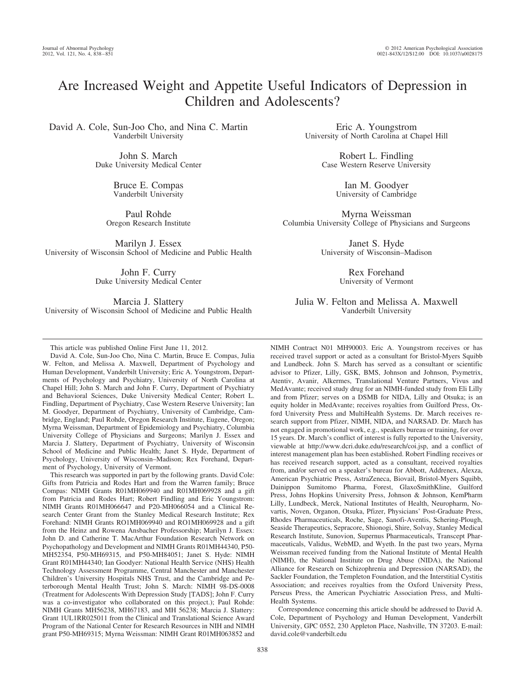# Are Increased Weight and Appetite Useful Indicators of Depression in Children and Adolescents?

David A. Cole, Sun-Joo Cho, and Nina C. Martin Vanderbilt University

> John S. March Duke University Medical Center

> > Bruce E. Compas Vanderbilt University

Paul Rohde Oregon Research Institute

Marilyn J. Essex University of Wisconsin School of Medicine and Public Health

> John F. Curry Duke University Medical Center

Marcia J. Slattery University of Wisconsin School of Medicine and Public Health

This article was published Online First June 11, 2012.

David A. Cole, Sun-Joo Cho, Nina C. Martin, Bruce E. Compas, Julia W. Felton, and Melissa A. Maxwell, Department of Psychology and Human Development, Vanderbilt University; Eric A. Youngstrom, Departments of Psychology and Psychiatry, University of North Carolina at Chapel Hill; John S. March and John F. Curry, Department of Psychiatry and Behavioral Sciences, Duke University Medical Center; Robert L. Findling, Department of Psychiatry, Case Western Reserve University; Ian M. Goodyer, Department of Psychiatry, University of Cambridge, Cambridge, England; Paul Rohde, Oregon Research Institute, Eugene, Oregon; Myrna Weissman, Department of Epidemiology and Psychiatry, Columbia University College of Physicians and Surgeons; Marilyn J. Essex and Marcia J. Slattery, Department of Psychiatry, University of Wisconsin School of Medicine and Public Health; Janet S. Hyde, Department of Psychology, University of Wisconsin–Madison; Rex Forehand, Department of Psychology, University of Vermont.

This research was supported in part by the following grants. David Cole: Gifts from Patricia and Rodes Hart and from the Warren family; Bruce Compas: NIMH Grants R01MH069940 and R01MH069928 and a gift from Patricia and Rodes Hart; Robert Findling and Eric Youngstrom: NIMH Grants R01MH066647 and P20-MH066054 and a Clinical Research Center Grant from the Stanley Medical Research Institute; Rex Forehand: NIMH Grants RO1MH069940 and RO1MH069928 and a gift from the Heinz and Rowena Ansbacher Professorship; Marilyn J. Essex: John D. and Catherine T. MacArthur Foundation Research Network on Psychopathology and Development and NIMH Grants R01MH44340, P50- MH52354, P50-MH69315, and P50-MH84051; Janet S. Hyde: NIMH Grant R01MH44340; Ian Goodyer: National Health Service (NHS) Health Technology Assessment Programme, Central Manchester and Manchester Children's University Hospitals NHS Trust, and the Cambridge and Peterborough Mental Health Trust; John S. March: NIMH 98-DS-0008 (Treatment for Adolescents With Depression Study [TADS]; John F. Curry was a co-investigator who collaborated on this project.); Paul Rohde: NIMH Grants MH56238, MH67183, and MH 56238; Marcia J. Slattery: Grant 1UL1RR025011 from the Clinical and Translational Science Award Program of the National Center for Research Resources in NIH and NIMH grant P50-MH69315; Myrna Weissman: NIMH Grant R01MH063852 and

Eric A. Youngstrom University of North Carolina at Chapel Hill

> Robert L. Findling Case Western Reserve University

> > Ian M. Goodyer University of Cambridge

Myrna Weissman Columbia University College of Physicians and Surgeons

> Janet S. Hyde University of Wisconsin–Madison

> > Rex Forehand University of Vermont

Julia W. Felton and Melissa A. Maxwell Vanderbilt University

NIMH Contract N01 MH90003. Eric A. Youngstrom receives or has received travel support or acted as a consultant for Bristol-Myers Squibb and Lundbeck. John S. March has served as a consultant or scientific advisor to Pfizer, Lilly, GSK, BMS, Johnson and Johnson, Psymetrix, Atentiv, Avanir, Alkermes, Translational Venture Partners, Vivus and MedAvante; received study drug for an NIMH-funded study from Eli Lilly and from Pfizer; serves on a DSMB for NIDA, Lilly and Otsuka; is an equity holder in MedAvante; receives royalties from Guilford Press, Oxford University Press and MultiHealth Systems. Dr. March receives research support from Pfizer, NIMH, NIDA, and NARSAD. Dr. March has not engaged in promotional work, e.g., speakers bureau or training, for over 15 years. Dr. March's conflict of interest is fully reported to the University, viewable at http://www.dcri.duke.edu/research/coi.jsp, and a conflict of interest management plan has been established. Robert Findling receives or has received research support, acted as a consultant, received royalties from, and/or served on a speaker's bureau for Abbott, Addrenex, Alexza, American Psychiatric Press, AstraZeneca, Biovail, Bristol-Myers Squibb, Dainippon Sumitomo Pharma, Forest, GlaxoSmithKline, Guilford Press, Johns Hopkins University Press, Johnson & Johnson, KemPharm Lilly, Lundbeck, Merck, National Institutes of Health, Neuropharm, Novartis, Noven, Organon, Otsuka, Pfizer, Physicians' Post-Graduate Press, Rhodes Pharmaceuticals, Roche, Sage, Sanofi-Aventis, Schering-Plough, Seaside Therapeutics, Sepracore, Shionogi, Shire, Solvay, Stanley Medical Research Institute, Sunovion, Supernus Pharmaceuticals, Transcept Pharmaceuticals, Validus, WebMD, and Wyeth. In the past two years, Myrna Weissman received funding from the National Institute of Mental Health (NIMH), the National Institute on Drug Abuse (NIDA), the National Alliance for Research on Schizophrenia and Depression (NARSAD), the Sackler Foundation, the Templeton Foundation, and the Interstitial Cystitis Association; and receives royalties from the Oxford University Press, Perseus Press, the American Psychiatric Association Press, and Multi-Health Systems.

Correspondence concerning this article should be addressed to David A. Cole, Department of Psychology and Human Development, Vanderbilt University, GPC 0552, 230 Appleton Place, Nashville, TN 37203. E-mail: david.cole@vanderbilt.edu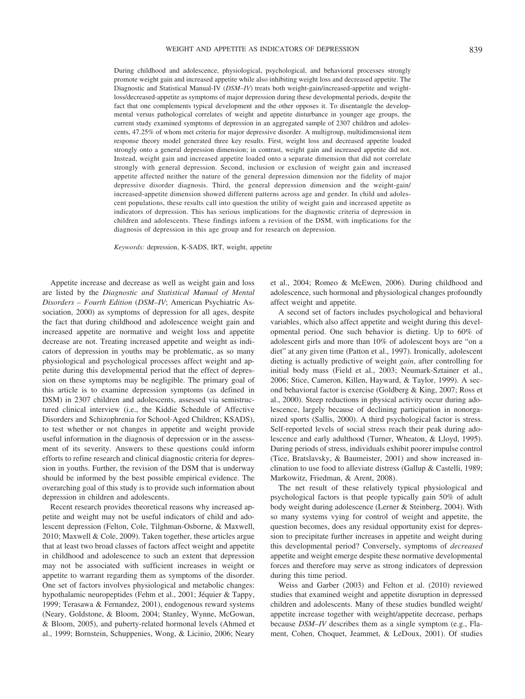During childhood and adolescence, physiological, psychological, and behavioral processes strongly promote weight gain and increased appetite while also inhibiting weight loss and decreased appetite. The Diagnostic and Statistical Manual-IV (*DSM–IV*) treats both weight-gain/increased-appetite and weightloss/decreased-appetite as symptoms of major depression during these developmental periods, despite the fact that one complements typical development and the other opposes it. To disentangle the developmental versus pathological correlates of weight and appetite disturbance in younger age groups, the current study examined symptoms of depression in an aggregated sample of 2307 children and adolescents, 47.25% of whom met criteria for major depressive disorder. A multigroup, multidimensional item response theory model generated three key results. First, weight loss and decreased appetite loaded strongly onto a general depression dimension; in contrast, weight gain and increased appetite did not. Instead, weight gain and increased appetite loaded onto a separate dimension that did not correlate strongly with general depression. Second, inclusion or exclusion of weight gain and increased appetite affected neither the nature of the general depression dimension nor the fidelity of major depressive disorder diagnosis. Third, the general depression dimension and the weight-gain/ increased-appetite dimension showed different patterns across age and gender. In child and adolescent populations, these results call into question the utility of weight gain and increased appetite as indicators of depression. This has serious implications for the diagnostic criteria of depression in children and adolescents. These findings inform a revision of the DSM, with implications for the diagnosis of depression in this age group and for research on depression.

*Keywords:* depression, K-SADS, IRT, weight, appetite

Appetite increase and decrease as well as weight gain and loss are listed by the *Diagnostic and Statistical Manual of Mental Disorders – Fourth Edition* (*DSM–IV*; American Psychiatric Association, 2000) as symptoms of depression for all ages, despite the fact that during childhood and adolescence weight gain and increased appetite are normative and weight loss and appetite decrease are not. Treating increased appetite and weight as indicators of depression in youths may be problematic, as so many physiological and psychological processes affect weight and appetite during this developmental period that the effect of depression on these symptoms may be negligible. The primary goal of this article is to examine depression symptoms (as defined in DSM) in 2307 children and adolescents, assessed via semistructured clinical interview (i.e., the Kiddie Schedule of Affective Disorders and Schizophrenia for School-Aged Children; KSADS), to test whether or not changes in appetite and weight provide useful information in the diagnosis of depression or in the assessment of its severity. Answers to these questions could inform efforts to refine research and clinical diagnostic criteria for depression in youths. Further, the revision of the DSM that is underway should be informed by the best possible empirical evidence. The overarching goal of this study is to provide such information about depression in children and adolescents.

Recent research provides theoretical reasons why increased appetite and weight may not be useful indicators of child and adolescent depression (Felton, Cole, Tilghman-Osborne, & Maxwell, 2010; Maxwell & Cole, 2009). Taken together, these articles argue that at least two broad classes of factors affect weight and appetite in childhood and adolescence to such an extent that depression may not be associated with sufficient increases in weight or appetite to warrant regarding them as symptoms of the disorder. One set of factors involves physiological and metabolic changes: hypothalamic neuropeptides (Fehm et al., 2001; Jéquier & Tappy, 1999; Terasawa & Fernandez, 2001), endogenous reward systems (Neary, Goldstone, & Bloom, 2004; Stanley, Wynne, McGowan, & Bloom, 2005), and puberty-related hormonal levels (Ahmed et al., 1999; Bornstein, Schuppenies, Wong, & Licinio, 2006; Neary

et al., 2004; Romeo & McEwen, 2006). During childhood and adolescence, such hormonal and physiological changes profoundly affect weight and appetite.

A second set of factors includes psychological and behavioral variables, which also affect appetite and weight during this developmental period. One such behavior is dieting. Up to 60% of adolescent girls and more than 10% of adolescent boys are "on a diet" at any given time (Patton et al., 1997). Ironically, adolescent dieting is actually predictive of weight *gain*, after controlling for initial body mass (Field et al., 2003; Neumark-Sztainer et al., 2006; Stice, Cameron, Killen, Hayward, & Taylor, 1999). A second behavioral factor is exercise (Goldberg & King, 2007; Ross et al., 2000). Steep reductions in physical activity occur during adolescence, largely because of declining participation in nonorganized sports (Sallis, 2000). A third psychological factor is stress. Self-reported levels of social stress reach their peak during adolescence and early adulthood (Turner, Wheaton, & Lloyd, 1995). During periods of stress, individuals exhibit poorer impulse control (Tice, Bratslavsky, & Baumeister, 2001) and show increased inclination to use food to alleviate distress (Gallup & Castelli, 1989; Markowitz, Friedman, & Arent, 2008).

The net result of these relatively typical physiological and psychological factors is that people typically gain 50% of adult body weight during adolescence (Lerner & Steinberg, 2004). With so many systems vying for control of weight and appetite, the question becomes, does any residual opportunity exist for depression to precipitate further increases in appetite and weight during this developmental period? Conversely, symptoms of *decreased* appetite and weight emerge despite these normative developmental forces and therefore may serve as strong indicators of depression during this time period.

Weiss and Garber (2003) and Felton et al. (2010) reviewed studies that examined weight and appetite disruption in depressed children and adolescents. Many of these studies bundled weight/ appetite increase together with weight/appetite decrease, perhaps because *DSM–IV* describes them as a single symptom (e.g., Flament, Cohen, Choquet, Jeammet, & LeDoux, 2001). Of studies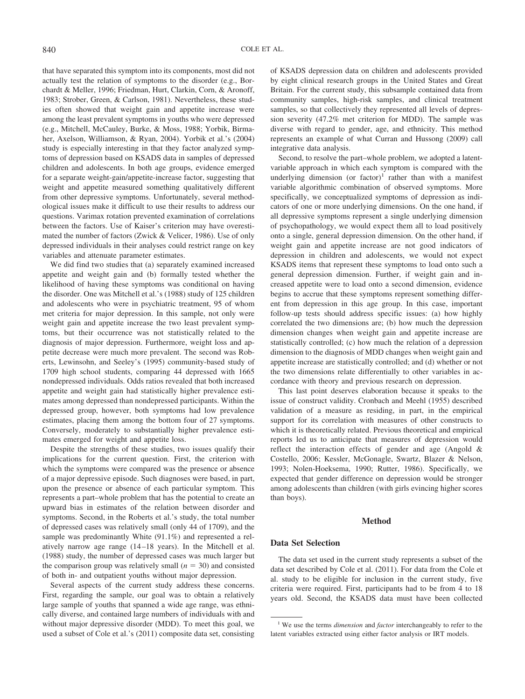that have separated this symptom into its components, most did not actually test the relation of symptoms to the disorder (e.g., Borchardt & Meller, 1996; Friedman, Hurt, Clarkin, Corn, & Aronoff, 1983; Strober, Green, & Carlson, 1981). Nevertheless, these studies often showed that weight gain and appetite increase were among the least prevalent symptoms in youths who were depressed (e.g., Mitchell, McCauley, Burke, & Moss, 1988; Yorbik, Birmaher, Axelson, Williamson, & Ryan, 2004). Yorbik et al.'s (2004) study is especially interesting in that they factor analyzed symptoms of depression based on KSADS data in samples of depressed children and adolescents. In both age groups, evidence emerged for a separate weight-gain/appetite-increase factor, suggesting that weight and appetite measured something qualitatively different from other depressive symptoms. Unfortunately, several methodological issues make it difficult to use their results to address our questions. Varimax rotation prevented examination of correlations between the factors. Use of Kaiser's criterion may have overestimated the number of factors (Zwick & Velicer, 1986). Use of only depressed individuals in their analyses could restrict range on key variables and attenuate parameter estimates.

We did find two studies that (a) separately examined increased appetite and weight gain and (b) formally tested whether the likelihood of having these symptoms was conditional on having the disorder. One was Mitchell et al.'s (1988) study of 125 children and adolescents who were in psychiatric treatment, 95 of whom met criteria for major depression. In this sample, not only were weight gain and appetite increase the two least prevalent symptoms, but their occurrence was not statistically related to the diagnosis of major depression. Furthermore, weight loss and appetite decrease were much more prevalent. The second was Roberts, Lewinsohn, and Seeley's (1995) community-based study of 1709 high school students, comparing 44 depressed with 1665 nondepressed individuals. Odds ratios revealed that both increased appetite and weight gain had statistically higher prevalence estimates among depressed than nondepressed participants. Within the depressed group, however, both symptoms had low prevalence estimates, placing them among the bottom four of 27 symptoms. Conversely, moderately to substantially higher prevalence estimates emerged for weight and appetite loss.

Despite the strengths of these studies, two issues qualify their implications for the current question. First, the criterion with which the symptoms were compared was the presence or absence of a major depressive episode. Such diagnoses were based, in part, upon the presence or absence of each particular symptom. This represents a part–whole problem that has the potential to create an upward bias in estimates of the relation between disorder and symptoms. Second, in the Roberts et al.'s study, the total number of depressed cases was relatively small (only 44 of 1709), and the sample was predominantly White (91.1%) and represented a relatively narrow age range (14 –18 years). In the Mitchell et al. (1988) study, the number of depressed cases was much larger but the comparison group was relatively small  $(n = 30)$  and consisted of both in- and outpatient youths without major depression.

Several aspects of the current study address these concerns. First, regarding the sample, our goal was to obtain a relatively large sample of youths that spanned a wide age range, was ethnically diverse, and contained large numbers of individuals with and without major depressive disorder (MDD). To meet this goal, we used a subset of Cole et al.'s (2011) composite data set, consisting of KSADS depression data on children and adolescents provided by eight clinical research groups in the United States and Great Britain. For the current study, this subsample contained data from community samples, high-risk samples, and clinical treatment samples, so that collectively they represented all levels of depression severity (47.2% met criterion for MDD). The sample was diverse with regard to gender, age, and ethnicity. This method represents an example of what Curran and Hussong (2009) call integrative data analysis.

Second, to resolve the part–whole problem, we adopted a latentvariable approach in which each symptom is compared with the underlying dimension (or factor)<sup>1</sup> rather than with a manifest variable algorithmic combination of observed symptoms. More specifically, we conceptualized symptoms of depression as indicators of one or more underlying dimensions. On the one hand, if all depressive symptoms represent a single underlying dimension of psychopathology, we would expect them all to load positively onto a single, general depression dimension. On the other hand, if weight gain and appetite increase are not good indicators of depression in children and adolescents, we would not expect KSADS items that represent these symptoms to load onto such a general depression dimension. Further, if weight gain and increased appetite were to load onto a second dimension, evidence begins to accrue that these symptoms represent something different from depression in this age group. In this case, important follow-up tests should address specific issues: (a) how highly correlated the two dimensions are; (b) how much the depression dimension changes when weight gain and appetite increase are statistically controlled; (c) how much the relation of a depression dimension to the diagnosis of MDD changes when weight gain and appetite increase are statistically controlled; and (d) whether or not the two dimensions relate differentially to other variables in accordance with theory and previous research on depression.

This last point deserves elaboration because it speaks to the issue of construct validity. Cronbach and Meehl (1955) described validation of a measure as residing, in part, in the empirical support for its correlation with measures of other constructs to which it is theoretically related. Previous theoretical and empirical reports led us to anticipate that measures of depression would reflect the interaction effects of gender and age (Angold & Costello, 2006; Kessler, McGonagle, Swartz, Blazer & Nelson, 1993; Nolen-Hoeksema, 1990; Rutter, 1986). Specifically, we expected that gender difference on depression would be stronger among adolescents than children (with girls evincing higher scores than boys).

## **Method**

## **Data Set Selection**

The data set used in the current study represents a subset of the data set described by Cole et al. (2011). For data from the Cole et al. study to be eligible for inclusion in the current study, five criteria were required. First, participants had to be from 4 to 18 years old. Second, the KSADS data must have been collected

<sup>1</sup> We use the terms *dimension* and *factor* interchangeably to refer to the latent variables extracted using either factor analysis or IRT models.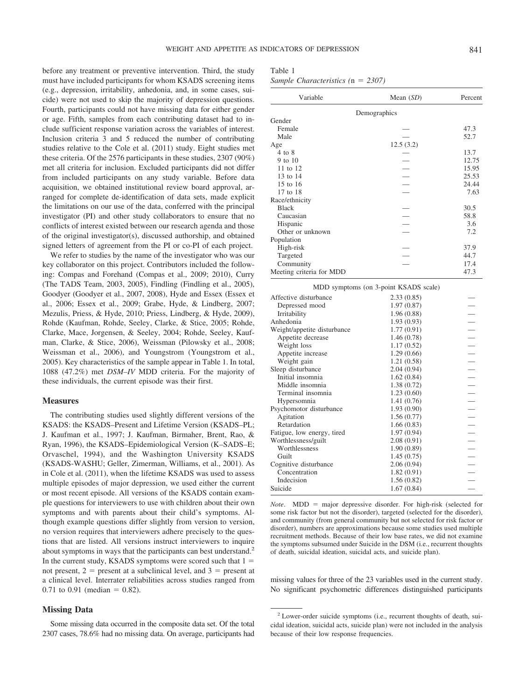before any treatment or preventive intervention. Third, the study must have included participants for whom KSADS screening items (e.g., depression, irritability, anhedonia, and, in some cases, suicide) were not used to skip the majority of depression questions. Fourth, participants could not have missing data for either gender or age. Fifth, samples from each contributing dataset had to include sufficient response variation across the variables of interest. Inclusion criteria 3 and 5 reduced the number of contributing studies relative to the Cole et al. (2011) study. Eight studies met these criteria. Of the 2576 participants in these studies, 2307 (90%) met all criteria for inclusion. Excluded participants did not differ from included participants on any study variable. Before data acquisition, we obtained institutional review board approval, arranged for complete de-identification of data sets, made explicit the limitations on our use of the data, conferred with the principal investigator (PI) and other study collaborators to ensure that no conflicts of interest existed between our research agenda and those of the original investigator(s), discussed authorship, and obtained signed letters of agreement from the PI or co-PI of each project.

We refer to studies by the name of the investigator who was our key collaborator on this project. Contributors included the following: Compas and Forehand (Compas et al., 2009; 2010), Curry (The TADS Team, 2003, 2005), Findling (Findling et al., 2005), Goodyer (Goodyer et al., 2007, 2008), Hyde and Essex (Essex et al., 2006; Essex et al., 2009; Grabe, Hyde, & Lindberg, 2007; Mezulis, Priess, & Hyde, 2010; Priess, Lindberg, & Hyde, 2009), Rohde (Kaufman, Rohde, Seeley, Clarke, & Stice, 2005; Rohde, Clarke, Mace, Jorgensen, & Seeley, 2004; Rohde, Seeley, Kaufman, Clarke, & Stice, 2006), Weissman (Pilowsky et al., 2008; Weissman et al., 2006), and Youngstrom (Youngstrom et al., 2005). Key characteristics of the sample appear in Table 1. In total, 1088 (47.2%) met *DSM–IV* MDD criteria. For the majority of these individuals, the current episode was their first.

## **Measures**

The contributing studies used slightly different versions of the KSADS: the KSADS–Present and Lifetime Version (KSADS–PL; J. Kaufman et al., 1997; J. Kaufman, Birmaher, Brent, Rao, & Ryan, 1996), the KSADS–Epidemiological Version (K–SADS–E; Orvaschel, 1994), and the Washington University KSADS (KSADS-WASHU; Geller, Zimerman, Williams, et al., 2001). As in Cole et al. (2011), when the lifetime KSADS was used to assess multiple episodes of major depression, we used either the current or most recent episode. All versions of the KSADS contain example questions for interviewers to use with children about their own symptoms and with parents about their child's symptoms. Although example questions differ slightly from version to version, no version requires that interviewers adhere precisely to the questions that are listed. All versions instruct interviewers to inquire about symptoms in ways that the participants can best understand.<sup>2</sup> In the current study, KSADS symptoms were scored such that  $1 =$ not present,  $2 =$  present at a subclinical level, and  $3 =$  present at a clinical level. Interrater reliabilities across studies ranged from 0.71 to 0.91 (median  $= 0.82$ ).

## **Missing Data**

Some missing data occurred in the composite data set. Of the total 2307 cases, 78.6% had no missing data. On average, participants had

| v.<br>. .<br>٠<br>×<br>٠ |  |
|--------------------------|--|
|--------------------------|--|

*Sample Characteristics (*n *2307)*

| Variable                 | Mean $(SD)$                                                                      | Percent |
|--------------------------|----------------------------------------------------------------------------------|---------|
|                          | Demographics                                                                     |         |
| Gender                   |                                                                                  |         |
| Female                   |                                                                                  | 47.3    |
| Male                     |                                                                                  | 52.7    |
| Age                      | 12.5(3.2)                                                                        |         |
| $4$ to $8$               |                                                                                  | 13.7    |
| 9 to 10                  |                                                                                  | 12.75   |
| 11 to 12                 |                                                                                  | 15.95   |
| 13 to 14                 |                                                                                  | 25.53   |
| 15 to 16                 |                                                                                  | 24.44   |
| 17 to 18                 |                                                                                  | 7.63    |
| Race/ethnicity           |                                                                                  |         |
| <b>Black</b>             |                                                                                  | 30.5    |
| Caucasian                | $\overline{a}$                                                                   | 58.8    |
| Hispanic                 |                                                                                  | 3.6     |
| Other or unknown         |                                                                                  | 7.2     |
| Population               |                                                                                  |         |
| High-risk                |                                                                                  | 37.9    |
| Targeted                 |                                                                                  | 44.7    |
| Community                |                                                                                  | 17.4    |
| Meeting criteria for MDD |                                                                                  | 47.3    |
| $\sqrt{2}$               | $\sim$ $\sim$<br>$\cdot$ $\cdot$ $\cdot$ $\cdot$ $\cdot$ $\cdot$ $\cdot$ $\cdot$ |         |

|                             | MDD symptoms (on 3-point KSADS scale) |  |
|-----------------------------|---------------------------------------|--|
| Affective disturbance       | 2.33(0.85)                            |  |
| Depressed mood              | 1.97(0.87)                            |  |
| Irritability                | 1.96 (0.88)                           |  |
| Anhedonia                   | 1.93(0.93)                            |  |
| Weight/appetite disturbance | 1.77(0.91)                            |  |
| Appetite decrease           | 1.46(0.78)                            |  |
| Weight loss                 | 1.17(0.52)                            |  |
| Appetite increase           | 1.29(0.66)                            |  |
| Weight gain                 | 1.21(0.58)                            |  |
| Sleep disturbance           | 2.04(0.94)                            |  |
| Initial insomnia            | 1.62(0.84)                            |  |
| Middle insomnia             | 1.38(0.72)                            |  |
| Terminal insomnia           | 1.23(0.60)                            |  |
| Hypersomnia                 | 1.41(0.76)                            |  |
| Psychomotor disturbance     | 1.93(0.90)                            |  |
| Agitation                   | 1.56(0.77)                            |  |
| Retardation                 | 1.66(0.83)                            |  |
| Fatigue, low energy, tired  | 1.97(0.94)                            |  |
| Worthlessness/guilt         | 2.08(0.91)                            |  |
| Worthlessness               | 1.90(0.89)                            |  |
| Guilt                       | 1.45(0.75)                            |  |
| Cognitive disturbance       | 2.06(0.94)                            |  |
| Concentration               | 1.82(0.91)                            |  |
| Indecision                  | 1.56(0.82)                            |  |
| Suicide                     | 1.67(0.84)                            |  |
|                             |                                       |  |

*Note*.  $MDD = \text{major depressive disorder. For high-risk (selected for$ some risk factor but not the disorder), targeted (selected for the disorder), and community (from general community but not selected for risk factor or disorder), numbers are approximations because some studies used multiple recruitment methods. Because of their low base rates, we did not examine the symptoms subsumed under Suicide in the DSM (i.e., recurrent thoughts of death, suicidal ideation, suicidal acts, and suicide plan).

missing values for three of the 23 variables used in the current study. No significant psychometric differences distinguished participants

<sup>2</sup> Lower-order suicide symptoms (i.e., recurrent thoughts of death, suicidal ideation, suicidal acts, suicide plan) were not included in the analysis because of their low response frequencies.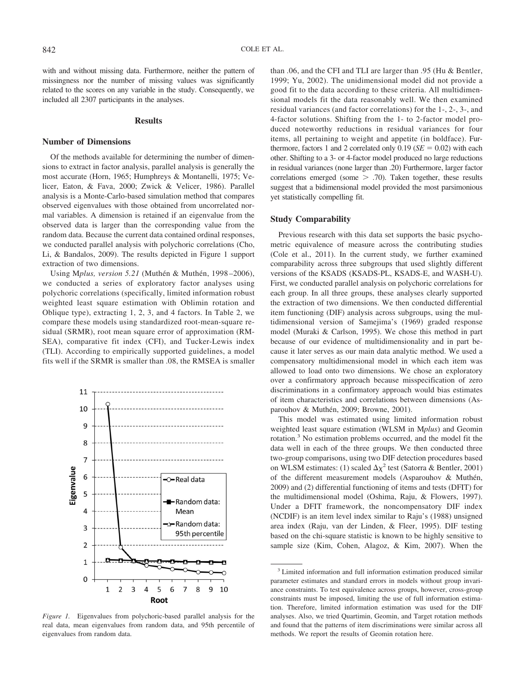with and without missing data. Furthermore, neither the pattern of missingness nor the number of missing values was significantly related to the scores on any variable in the study. Consequently, we included all 2307 participants in the analyses.

## **Results**

## **Number of Dimensions**

Of the methods available for determining the number of dimensions to extract in factor analysis, parallel analysis is generally the most accurate (Horn, 1965; Humphreys & Montanelli, 1975; Velicer, Eaton, & Fava, 2000; Zwick & Velicer, 1986). Parallel analysis is a Monte-Carlo-based simulation method that compares observed eigenvalues with those obtained from uncorrelated normal variables. A dimension is retained if an eigenvalue from the observed data is larger than the corresponding value from the random data. Because the current data contained ordinal responses, we conducted parallel analysis with polychoric correlations (Cho, Li, & Bandalos, 2009). The results depicted in Figure 1 support extraction of two dimensions.

Using Mplus, version 5.21 (Muthén & Muthén, 1998-2006), we conducted a series of exploratory factor analyses using polychoric correlations (specifically, limited information robust weighted least square estimation with Oblimin rotation and Oblique type), extracting 1, 2, 3, and 4 factors. In Table 2, we compare these models using standardized root-mean-square residual (SRMR), root mean square error of approximation (RM-SEA), comparative fit index (CFI), and Tucker-Lewis index (TLI). According to empirically supported guidelines, a model fits well if the SRMR is smaller than .08, the RMSEA is smaller



*Figure 1.* Eigenvalues from polychoric-based parallel analysis for the real data, mean eigenvalues from random data, and 95th percentile of eigenvalues from random data.

than .06, and the CFI and TLI are larger than .95 (Hu & Bentler, 1999; Yu, 2002). The unidimensional model did not provide a good fit to the data according to these criteria. All multidimensional models fit the data reasonably well. We then examined residual variances (and factor correlations) for the 1-, 2-, 3-, and 4-factor solutions. Shifting from the 1- to 2-factor model produced noteworthy reductions in residual variances for four items, all pertaining to weight and appetite (in boldface). Furthermore, factors 1 and 2 correlated only  $0.19$  ( $SE = 0.02$ ) with each other. Shifting to a 3- or 4-factor model produced no large reductions in residual variances (none larger than .20) Furthermore, larger factor correlations emerged (some  $> .70$ ). Taken together, these results suggest that a bidimensional model provided the most parsimonious yet statistically compelling fit.

# **Study Comparability**

Previous research with this data set supports the basic psychometric equivalence of measure across the contributing studies (Cole et al., 2011). In the current study, we further examined comparability across three subgroups that used slightly different versions of the KSADS (KSADS-PL, KSADS-E, and WASH-U). First, we conducted parallel analysis on polychoric correlations for each group. In all three groups, these analyses clearly supported the extraction of two dimensions. We then conducted differential item functioning (DIF) analysis across subgroups, using the multidimensional version of Samejima's (1969) graded response model (Muraki & Carlson, 1995). We chose this method in part because of our evidence of multidimensionality and in part because it later serves as our main data analytic method. We used a compensatory multidimensional model in which each item was allowed to load onto two dimensions. We chose an exploratory over a confirmatory approach because misspecification of zero discriminations in a confirmatory approach would bias estimates of item characteristics and correlations between dimensions (Asparouhov & Muthén, 2009; Browne, 2001).

This model was estimated using limited information robust weighted least square estimation (WLSM in M*plus*) and Geomin rotation.3 No estimation problems occurred, and the model fit the data well in each of the three groups. We then conducted three two-group comparisons, using two DIF detection procedures based on WLSM estimates: (1) scaled  $\Delta \chi^2$  test (Satorra & Bentler, 2001) of the different measurement models (Asparouhov & Muthén, 2009) and (2) differential functioning of items and tests (DFIT) for the multidimensional model (Oshima, Raju, & Flowers, 1997). Under a DFIT framework, the noncompensatory DIF index (NCDIF) is an item level index similar to Raju's (1988) unsigned area index (Raju, van der Linden, & Fleer, 1995). DIF testing based on the chi-square statistic is known to be highly sensitive to sample size (Kim, Cohen, Alagoz, & Kim, 2007). When the

<sup>&</sup>lt;sup>3</sup> Limited information and full information estimation produced similar parameter estimates and standard errors in models without group invariance constraints. To test equivalence across groups, however, cross-group constraints must be imposed, limiting the use of full information estimation. Therefore, limited information estimation was used for the DIF analyses. Also, we tried Quartimin, Geomin, and Target rotation methods and found that the patterns of item discriminations were similar across all methods. We report the results of Geomin rotation here.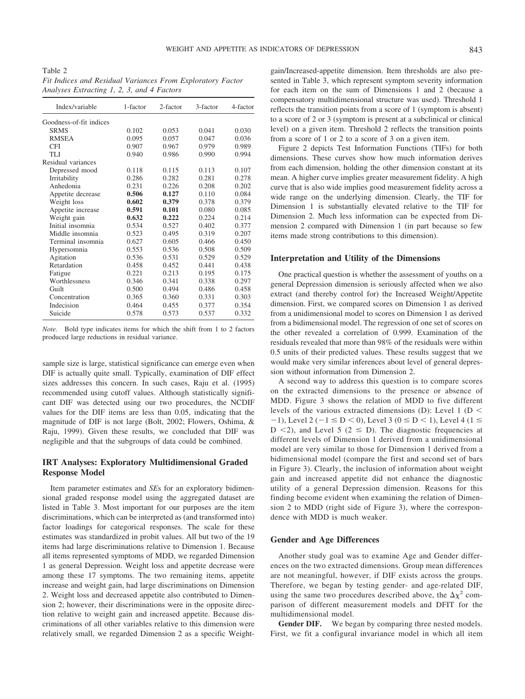Table 2 *Fit Indices and Residual Variances From Exploratory Factor Analyses Extracting 1, 2, 3, and 4 Factors*

| Index/variable          | 1-factor | 2-factor | 3-factor | 4-factor |
|-------------------------|----------|----------|----------|----------|
| Goodness-of-fit indices |          |          |          |          |
| <b>SRMS</b>             | 0.102    | 0.053    | 0.041    | 0.030    |
| <b>RMSEA</b>            | 0.095    | 0.057    | 0.047    | 0.036    |
| <b>CFI</b>              | 0.907    | 0.967    | 0.979    | 0.989    |
| TLI                     | 0.940    | 0.986    | 0.990    | 0.994    |
| Residual variances      |          |          |          |          |
| Depressed mood          | 0.118    | 0.115    | 0.113    | 0.107    |
| Irritability            | 0.286    | 0.282    | 0.281    | 0.278    |
| Anhedonia               | 0.231    | 0.226    | 0.208    | 0.202    |
| Appetite decrease       | 0.506    | 0.127    | 0.110    | 0.084    |
| Weight loss             | 0.602    | 0.379    | 0.378    | 0.379    |
| Appetite increase       | 0.591    | 0.101    | 0.080    | 0.085    |
| Weight gain             | 0.632    | 0.222    | 0.224    | 0.214    |
| Initial insomnia        | 0.534    | 0.527    | 0.402    | 0.377    |
| Middle insomnia         | 0.523    | 0.495    | 0.319    | 0.207    |
| Terminal insomnia       | 0.627    | 0.605    | 0.466    | 0.450    |
| Hypersomnia             | 0.553    | 0.536    | 0.508    | 0.509    |
| Agitation               | 0.536    | 0.531    | 0.529    | 0.529    |
| Retardation             | 0.458    | 0.452    | 0.441    | 0.438    |
| Fatigue                 | 0.221    | 0.213    | 0.195    | 0.175    |
| Worthlessness           | 0.346    | 0.341    | 0.338    | 0.297    |
| Guilt                   | 0.500    | 0.494    | 0.486    | 0.458    |
| Concentration           | 0.365    | 0.360    | 0.331    | 0.303    |
| Indecision              | 0.464    | 0.455    | 0.377    | 0.354    |
| Suicide                 | 0.578    | 0.573    | 0.537    | 0.332    |

*Note.* Bold type indicates items for which the shift from 1 to 2 factors produced large reductions in residual variance.

sample size is large, statistical significance can emerge even when DIF is actually quite small. Typically, examination of DIF effect sizes addresses this concern. In such cases, Raju et al. (1995) recommended using cutoff values. Although statistically significant DIF was detected using our two procedures, the NCDIF values for the DIF items are less than 0.05, indicating that the magnitude of DIF is not large (Bolt, 2002; Flowers, Oshima, & Raju, 1999). Given these results, we concluded that DIF was negligible and that the subgroups of data could be combined.

# **IRT Analyses: Exploratory Multidimensional Graded Response Model**

Item parameter estimates and *SE*s for an exploratory bidimensional graded response model using the aggregated dataset are listed in Table 3. Most important for our purposes are the item discriminations, which can be interpreted as (and transformed into) factor loadings for categorical responses. The scale for these estimates was standardized in probit values. All but two of the 19 items had large discriminations relative to Dimension 1. Because all items represented symptoms of MDD, we regarded Dimension 1 as general Depression. Weight loss and appetite decrease were among these 17 symptoms. The two remaining items, appetite increase and weight gain, had large discriminations on Dimension 2. Weight loss and decreased appetite also contributed to Dimension 2; however, their discriminations were in the opposite direction relative to weight gain and increased appetite. Because discriminations of all other variables relative to this dimension were relatively small, we regarded Dimension 2 as a specific Weightgain/Increased-appetite dimension. Item thresholds are also presented in Table 3, which represent symptom severity information for each item on the sum of Dimensions 1 and 2 (because a compensatory multidimensional structure was used). Threshold 1 reflects the transition points from a score of 1 (symptom is absent) to a score of 2 or 3 (symptom is present at a subclinical or clinical level) on a given item. Threshold 2 reflects the transition points from a score of 1 or 2 to a score of 3 on a given item.

Figure 2 depicts Test Information Functions (TIFs) for both dimensions. These curves show how much information derives from each dimension, holding the other dimension constant at its mean. A higher curve implies greater measurement fidelity. A high curve that is also wide implies good measurement fidelity across a wide range on the underlying dimension. Clearly, the TIF for Dimension 1 is substantially elevated relative to the TIF for Dimension 2. Much less information can be expected from Dimension 2 compared with Dimension 1 (in part because so few items made strong contributions to this dimension).

## **Interpretation and Utility of the Dimensions**

One practical question is whether the assessment of youths on a general Depression dimension is seriously affected when we also extract (and thereby control for) the Increased Weight/Appetite dimension. First, we compared scores on Dimension 1 as derived from a unidimensional model to scores on Dimension 1 as derived from a bidimensional model. The regression of one set of scores on the other revealed a correlation of 0.999. Examination of the residuals revealed that more than 98% of the residuals were within 0.5 units of their predicted values. These results suggest that we would make very similar inferences about level of general depression without information from Dimension 2.

A second way to address this question is to compare scores on the extracted dimensions to the presence or absence of MDD. Figure 3 shows the relation of MDD to five different levels of the various extracted dimensions (D): Level 1 (D  $\leq$  $-1$ ), Level 2 ( $-1 \le D < 0$ ), Level 3 ( $0 \le D < 1$ ), Level 4 ( $1 \le$ D  $\langle 2 \rangle$ , and Level 5 (2  $\leq$  D). The diagnostic frequencies at different levels of Dimension 1 derived from a unidimensional model are very similar to those for Dimension 1 derived from a bidimensional model (compare the first and second set of bars in Figure 3). Clearly, the inclusion of information about weight gain and increased appetite did not enhance the diagnostic utility of a general Depression dimension. Reasons for this finding become evident when examining the relation of Dimension 2 to MDD (right side of Figure 3), where the correspondence with MDD is much weaker.

#### **Gender and Age Differences**

Another study goal was to examine Age and Gender differences on the two extracted dimensions. Group mean differences are not meaningful, however, if DIF exists across the groups. Therefore, we began by testing gender- and age-related DIF, using the same two procedures described above, the  $\Delta \chi^2$  comparison of different measurement models and DFIT for the multidimensional model.

Gender DIF. We began by comparing three nested models. First, we fit a configural invariance model in which all item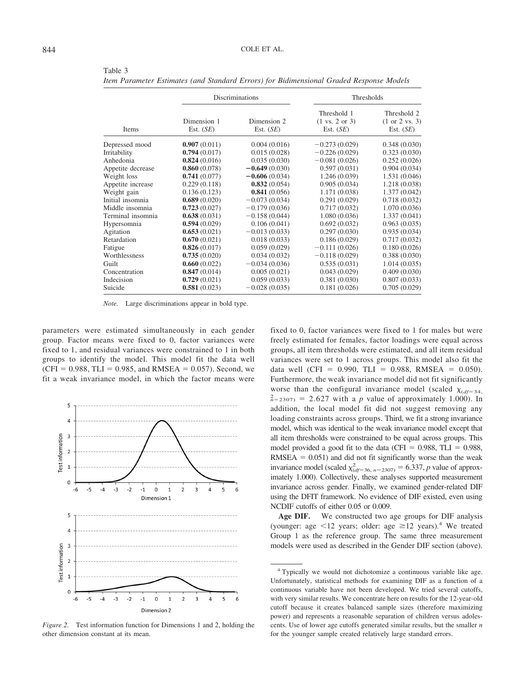|                   |                            | Discriminations            |                                                                  | Thresholds                                   |  |
|-------------------|----------------------------|----------------------------|------------------------------------------------------------------|----------------------------------------------|--|
| Items             | Dimension 1<br>Est. $(SE)$ | Dimension 2<br>Est. $(SE)$ | Threshold 1<br>$(1 \text{ vs. } 2 \text{ or } 3)$<br>Est. $(SE)$ | Threshold 2<br>(1 or 2 vs. 3)<br>Est. $(SE)$ |  |
| Depressed mood    | 0.907(0.011)               | 0.004(0.016)               | $-0.273(0.029)$                                                  | 0.348(0.030)                                 |  |
| Irritability      | 0.794(0.017)               | 0.015(0.028)               | $-0.226(0.029)$                                                  | 0.323(0.030)                                 |  |
| Anhedonia         | 0.824(0.016)               | 0.035(0.030)               | $-0.081(0.026)$                                                  | 0.252(0.026)                                 |  |
| Appetite decrease | 0.860(0.078)               | $-0.649(0.030)$            | 0.597(0.031)                                                     | 0.904(0.034)                                 |  |
| Weight loss       | 0.741(0.077)               | $-0.606(0.034)$            | 1.246 (0.039)                                                    | 1.531 (0.046)                                |  |
| Appetite increase | 0.229(0.118)               | 0.832(0.054)               | 0.905(0.034)                                                     | 1.218 (0.038)                                |  |
| Weight gain       | 0.136(0.123)               | 0.841(0.056)               | 1.171 (0.038)                                                    | 1.377(0.042)                                 |  |
| Initial insomnia  | 0.689(0.020)               | $-0.073(0.034)$            | 0.291(0.029)                                                     | 0.718(0.032)                                 |  |
| Middle insomnia   | 0.723(0.027)               | $-0.179(0.036)$            | 0.717(0.032)                                                     | 1.070(0.036)                                 |  |
| Terminal insomnia | 0.638(0.031)               | $-0.158(0.044)$            | 1.080(0.036)                                                     | 1.337(0.041)                                 |  |
| Hypersomnia       | 0.594(0.029)               | 0.106(0.041)               | 0.692(0.032)                                                     | 0.963(0.035)                                 |  |
| Agitation         | 0.653(0.021)               | $-0.013(0.033)$            | 0.297(0.030)                                                     | 0.935(0.034)                                 |  |
| Retardation       | 0.670(0.021)               | 0.018(0.033)               | 0.186(0.029)                                                     | 0.717(0.032)                                 |  |
| Fatigue           | 0.826(0.017)               | 0.059(0.029)               | $-0.111(0.026)$                                                  | 0.180(0.026)                                 |  |
| Worthlessness     | 0.735(0.020)               | 0.034(0.032)               | $-0.118(0.029)$                                                  | 0.388(0.030)                                 |  |
| Guilt             | 0.660(0.022)               | $-0.034(0.036)$            | 0.535(0.031)                                                     | 1.014(0.035)                                 |  |
| Concentration     | 0.847(0.014)               | 0.005(0.021)               | 0.043(0.029)                                                     | 0.409(0.030)                                 |  |
| Indecision        | 0.729(0.021)               | 0.059(0.033)               | 0.381(0.030)                                                     | 0.807(0.033)                                 |  |
| Suicide           | 0.581(0.023)               | $-0.028(0.035)$            | 0.181(0.026)                                                     | 0.705(0.029)                                 |  |

Table 3 *Item Parameter Estimates (and Standard Errors) for Bidimensional Graded Response Models*

*Note.* Large discriminations appear in bold type.

parameters were estimated simultaneously in each gender group. Factor means were fixed to 0, factor variances were fixed to 1, and residual variances were constrained to 1 in both groups to identify the model. This model fit the data well  $(CFI = 0.988, TLI = 0.985, and RMSEA = 0.057)$ . Second, we fit a weak invariance model, in which the factor means were



*Figure 2.* Test information function for Dimensions 1 and 2, holding the other dimension constant at its mean.

fixed to 0, factor variances were fixed to 1 for males but were freely estimated for females, factor loadings were equal across groups, all item thresholds were estimated, and all item residual variances were set to 1 across groups. This model also fit the data well (CFI =  $0.990$ , TLI =  $0.988$ , RMSEA =  $0.050$ ). Furthermore, the weak invariance model did not fit significantly worse than the configural invariance model (scaled  $\chi_{(df=34)}$ ,  $\frac{2}{n}$ =2307) = 2.627 with a *p* value of approximately 1.000). In addition, the local model fit did not suggest removing any loading constraints across groups. Third, we fit a strong invariance model, which was identical to the weak invariance model except that all item thresholds were constrained to be equal across groups. This model provided a good fit to the data (CFI =  $0.988$ , TLI =  $0.988$ ,  $RMSEA = 0.051$ ) and did not fit significantly worse than the weak invariance model (scaled  $\chi^2_{(df=36, n=2307)} = 6.337, p$  value of approximately 1.000). Collectively, these analyses supported measurement invariance across gender. Finally, we examined gender-related DIF using the DFIT framework. No evidence of DIF existed, even using NCDIF cutoffs of either 0.05 or 0.009.

**Age DIF.** We constructed two age groups for DIF analysis (younger: age <12 years; older: age  $\geq 12$  years).<sup>4</sup> We treated Group 1 as the reference group. The same three measurement models were used as described in the Gender DIF section (above).

<sup>4</sup> Typically we would not dichotomize a continuous variable like age. Unfortunately, statistical methods for examining DIF as a function of a continuous variable have not been developed. We tried several cutoffs, with very similar results. We concentrate here on results for the 12-year-old cutoff because it creates balanced sample sizes (therefore maximizing power) and represents a reasonable separation of children versus adolescents. Use of lower age cutoffs generated similar results, but the smaller *n* for the younger sample created relatively large standard errors.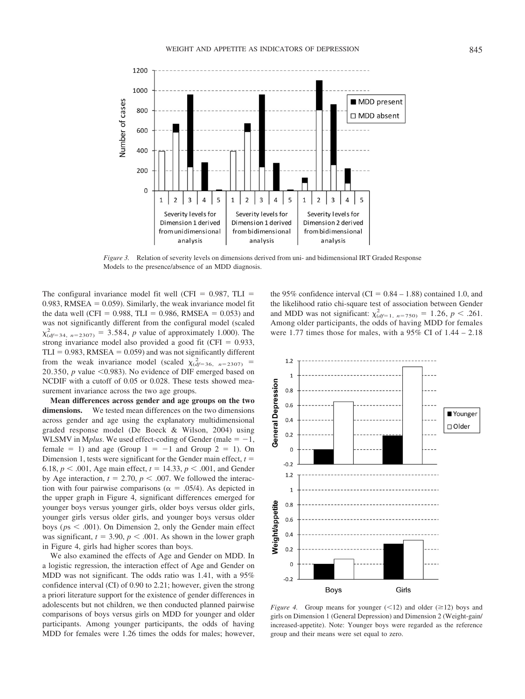

*Figure 3.* Relation of severity levels on dimensions derived from uni- and bidimensional IRT Graded Response Models to the presence/absence of an MDD diagnosis.

The configural invariance model fit well (CFI  $= 0.987$ , TLI  $=$ 0.983, RMSEA  $= 0.059$ . Similarly, the weak invariance model fit the data well (CFI =  $0.988$ , TLI =  $0.986$ , RMSEA =  $0.053$ ) and was not significantly different from the configural model (scaled  $\chi^2_{(df=34, n=2307)} = 3.584$ , *p* value of approximately 1.000). The strong invariance model also provided a good fit (CFI  $= 0.933$ ,  $TLI = 0.983$ , RMSEA = 0.059) and was not significantly different from the weak invariance model (scaled  $\chi^2_{(df=36, n=2307)}$  = 20.350,  $p$  value  $\leq$ 0.983). No evidence of DIF emerged based on NCDIF with a cutoff of 0.05 or 0.028. These tests showed measurement invariance across the two age groups.

**Mean differences across gender and age groups on the two dimensions.** We tested mean differences on the two dimensions across gender and age using the explanatory multidimensional graded response model (De Boeck & Wilson, 2004) using WLSMV in M*plus*. We used effect-coding of Gender (male  $= -1$ , female  $= 1$ ) and age (Group  $1 = -1$  and Group  $2 = 1$ ). On Dimension 1, tests were significant for the Gender main effect, *t* 6.18,  $p < .001$ , Age main effect,  $t = 14.33$ ,  $p < .001$ , and Gender by Age interaction,  $t = 2.70$ ,  $p < .007$ . We followed the interaction with four pairwise comparisons ( $\alpha = .05/4$ ). As depicted in the upper graph in Figure 4, significant differences emerged for younger boys versus younger girls, older boys versus older girls, younger girls versus older girls, and younger boys versus older boys ( $ps < .001$ ). On Dimension 2, only the Gender main effect was significant,  $t = 3.90$ ,  $p < .001$ . As shown in the lower graph in Figure 4, girls had higher scores than boys.

We also examined the effects of Age and Gender on MDD. In a logistic regression, the interaction effect of Age and Gender on MDD was not significant. The odds ratio was 1.41, with a 95% confidence interval (CI) of 0.90 to 2.21; however, given the strong a priori literature support for the existence of gender differences in adolescents but not children, we then conducted planned pairwise comparisons of boys versus girls on MDD for younger and older participants. Among younger participants, the odds of having MDD for females were 1.26 times the odds for males; however, the 95% confidence interval (CI =  $0.84 - 1.88$ ) contained 1.0, and the likelihood ratio chi-square test of association between Gender and MDD was not significant:  $\chi^2_{(df=1, n=750)} = 1.26$ ,  $p < .261$ . Among older participants, the odds of having MDD for females were 1.77 times those for males, with a 95% CI of 1.44 – 2.18



*Figure 4.* Group means for younger  $(\leq 12)$  and older  $(\geq 12)$  boys and girls on Dimension 1 (General Depression) and Dimension 2 (Weight-gain/ increased-appetite). Note: Younger boys were regarded as the reference group and their means were set equal to zero.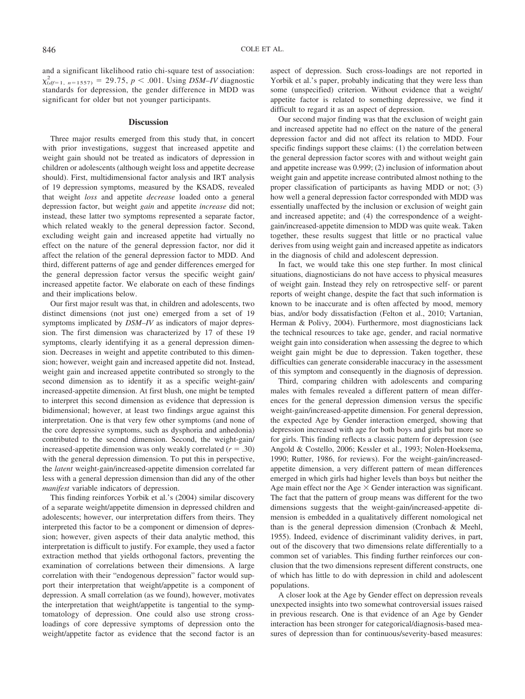and a significant likelihood ratio chi-square test of association:  $\chi^2_{(df=1, n=1557)} = 29.75, p < .001$ . Using *DSM–IV* diagnostic standards for depression, the gender difference in MDD was significant for older but not younger participants.

## **Discussion**

Three major results emerged from this study that, in concert with prior investigations, suggest that increased appetite and weight gain should not be treated as indicators of depression in children or adolescents (although weight loss and appetite decrease should). First, multidimensional factor analysis and IRT analysis of 19 depression symptoms, measured by the KSADS, revealed that weight *loss* and appetite *decrease* loaded onto a general depression factor, but weight *gain* and appetite *increase* did not; instead, these latter two symptoms represented a separate factor, which related weakly to the general depression factor. Second, excluding weight gain and increased appetite had virtually no effect on the nature of the general depression factor, nor did it affect the relation of the general depression factor to MDD. And third, different patterns of age and gender differences emerged for the general depression factor versus the specific weight gain/ increased appetite factor. We elaborate on each of these findings and their implications below.

Our first major result was that, in children and adolescents, two distinct dimensions (not just one) emerged from a set of 19 symptoms implicated by *DSM–IV* as indicators of major depression. The first dimension was characterized by 17 of these 19 symptoms, clearly identifying it as a general depression dimension. Decreases in weight and appetite contributed to this dimension; however, weight gain and increased appetite did not. Instead, weight gain and increased appetite contributed so strongly to the second dimension as to identify it as a specific weight-gain/ increased-appetite dimension. At first blush, one might be tempted to interpret this second dimension as evidence that depression is bidimensional; however, at least two findings argue against this interpretation. One is that very few other symptoms (and none of the core depressive symptoms, such as dysphoria and anhedonia) contributed to the second dimension. Second, the weight-gain/ increased-appetite dimension was only weakly correlated  $(r = .30)$ with the general depression dimension. To put this in perspective, the *latent* weight-gain/increased-appetite dimension correlated far less with a general depression dimension than did any of the other *manifest* variable indicators of depression.

This finding reinforces Yorbik et al.'s (2004) similar discovery of a separate weight/appetite dimension in depressed children and adolescents; however, our interpretation differs from theirs. They interpreted this factor to be a component or dimension of depression; however, given aspects of their data analytic method, this interpretation is difficult to justify. For example, they used a factor extraction method that yields orthogonal factors, preventing the examination of correlations between their dimensions. A large correlation with their "endogenous depression" factor would support their interpretation that weight/appetite is a component of depression. A small correlation (as we found), however, motivates the interpretation that weight/appetite is tangential to the symptomatology of depression. One could also use strong crossloadings of core depressive symptoms of depression onto the weight/appetite factor as evidence that the second factor is an

aspect of depression. Such cross-loadings are not reported in Yorbik et al.'s paper, probably indicating that they were less than some (unspecified) criterion. Without evidence that a weight/ appetite factor is related to something depressive, we find it difficult to regard it as an aspect of depression.

Our second major finding was that the exclusion of weight gain and increased appetite had no effect on the nature of the general depression factor and did not affect its relation to MDD. Four specific findings support these claims: (1) the correlation between the general depression factor scores with and without weight gain and appetite increase was 0.999; (2) inclusion of information about weight gain and appetite increase contributed almost nothing to the proper classification of participants as having MDD or not; (3) how well a general depression factor corresponded with MDD was essentially unaffected by the inclusion or exclusion of weight gain and increased appetite; and (4) the correspondence of a weightgain/increased-appetite dimension to MDD was quite weak. Taken together, these results suggest that little or no practical value derives from using weight gain and increased appetite as indicators in the diagnosis of child and adolescent depression.

In fact, we would take this one step further. In most clinical situations, diagnosticians do not have access to physical measures of weight gain. Instead they rely on retrospective self- or parent reports of weight change, despite the fact that such information is known to be inaccurate and is often affected by mood, memory bias, and/or body dissatisfaction (Felton et al., 2010; Vartanian, Herman & Polivy, 2004). Furthermore, most diagnosticians lack the technical resources to take age, gender, and racial normative weight gain into consideration when assessing the degree to which weight gain might be due to depression. Taken together, these difficulties can generate considerable inaccuracy in the assessment of this symptom and consequently in the diagnosis of depression.

Third, comparing children with adolescents and comparing males with females revealed a different pattern of mean differences for the general depression dimension versus the specific weight-gain/increased-appetite dimension. For general depression, the expected Age by Gender interaction emerged, showing that depression increased with age for both boys and girls but more so for girls. This finding reflects a classic pattern for depression (see Angold & Costello, 2006; Kessler et al., 1993; Nolen-Hoeksema, 1990; Rutter, 1986, for reviews). For the weight-gain/increasedappetite dimension, a very different pattern of mean differences emerged in which girls had higher levels than boys but neither the Age main effect nor the Age  $\times$  Gender interaction was significant. The fact that the pattern of group means was different for the two dimensions suggests that the weight-gain/increased-appetite dimension is embedded in a qualitatively different nomological net than is the general depression dimension (Cronbach & Meehl, 1955). Indeed, evidence of discriminant validity derives, in part, out of the discovery that two dimensions relate differentially to a common set of variables. This finding further reinforces our conclusion that the two dimensions represent different constructs, one of which has little to do with depression in child and adolescent populations.

A closer look at the Age by Gender effect on depression reveals unexpected insights into two somewhat controversial issues raised in previous research. One is that evidence of an Age by Gender interaction has been stronger for categorical/diagnosis-based measures of depression than for continuous/severity-based measures: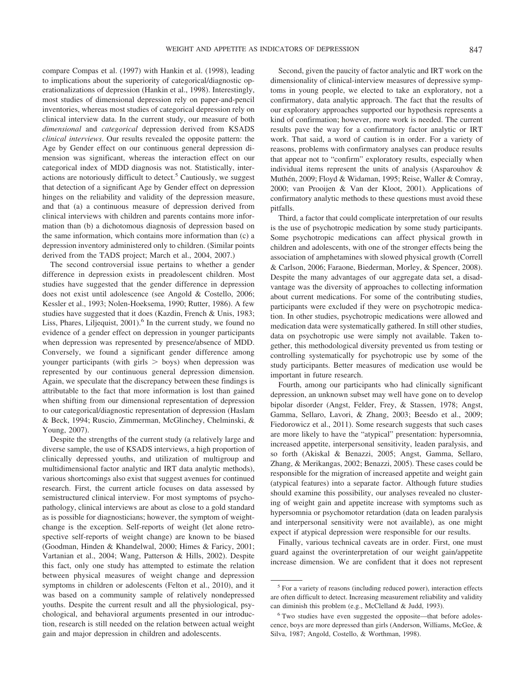compare Compas et al. (1997) with Hankin et al. (1998), leading to implications about the superiority of categorical/diagnostic operationalizations of depression (Hankin et al., 1998). Interestingly, most studies of dimensional depression rely on paper-and-pencil inventories, whereas most studies of categorical depression rely on clinical interview data. In the current study, our measure of both *dimensional* and *categorical* depression derived from KSADS *clinical interviews*. Our results revealed the opposite pattern: the Age by Gender effect on our continuous general depression dimension was significant, whereas the interaction effect on our categorical index of MDD diagnosis was not. Statistically, interactions are notoriously difficult to detect.<sup>5</sup> Cautiously, we suggest that detection of a significant Age by Gender effect on depression hinges on the reliability and validity of the depression measure, and that (a) a continuous measure of depression derived from clinical interviews with children and parents contains more information than (b) a dichotomous diagnosis of depression based on the same information, which contains more information than (c) a depression inventory administered only to children. (Similar points derived from the TADS project; March et al., 2004, 2007.)

The second controversial issue pertains to whether a gender difference in depression exists in preadolescent children. Most studies have suggested that the gender difference in depression does not exist until adolescence (see Angold & Costello, 2006; Kessler et al., 1993; Nolen-Hoeksema, 1990; Rutter, 1986). A few studies have suggested that it does (Kazdin, French & Unis, 1983; Liss, Phares, Liljequist,  $2001$ <sup>6</sup> In the current study, we found no evidence of a gender effect on depression in younger participants when depression was represented by presence/absence of MDD. Conversely, we found a significant gender difference among younger participants (with girls  $>$  boys) when depression was represented by our continuous general depression dimension. Again, we speculate that the discrepancy between these findings is attributable to the fact that more information is lost than gained when shifting from our dimensional representation of depression to our categorical/diagnostic representation of depression (Haslam & Beck, 1994; Ruscio, Zimmerman, McGlinchey, Chelminski, & Young, 2007).

Despite the strengths of the current study (a relatively large and diverse sample, the use of KSADS interviews, a high proportion of clinically depressed youths, and utilization of multigroup and multidimensional factor analytic and IRT data analytic methods), various shortcomings also exist that suggest avenues for continued research. First, the current article focuses on data assessed by semistructured clinical interview. For most symptoms of psychopathology, clinical interviews are about as close to a gold standard as is possible for diagnosticians; however, the symptom of weightchange is the exception. Self-reports of weight (let alone retrospective self-reports of weight change) are known to be biased (Goodman, Hinden & Khandelwal, 2000; Himes & Faricy, 2001; Vartanian et al., 2004; Wang, Patterson & Hills, 2002). Despite this fact, only one study has attempted to estimate the relation between physical measures of weight change and depression symptoms in children or adolescents (Felton et al., 2010), and it was based on a community sample of relatively nondepressed youths. Despite the current result and all the physiological, psychological, and behavioral arguments presented in our introduction, research is still needed on the relation between actual weight gain and major depression in children and adolescents.

Second, given the paucity of factor analytic and IRT work on the dimensionality of clinical-interview measures of depressive symptoms in young people, we elected to take an exploratory, not a confirmatory, data analytic approach. The fact that the results of our exploratory approaches supported our hypothesis represents a kind of confirmation; however, more work is needed. The current results pave the way for a confirmatory factor analytic or IRT work. That said, a word of caution is in order. For a variety of reasons, problems with confirmatory analyses can produce results that appear not to "confirm" exploratory results, especially when individual items represent the units of analysis (Asparouhov & Muthén, 2009; Floyd & Widaman, 1995; Reise, Waller & Comray, 2000; van Prooijen & Van der Kloot, 2001). Applications of confirmatory analytic methods to these questions must avoid these pitfalls.

Third, a factor that could complicate interpretation of our results is the use of psychotropic medication by some study participants. Some psychotropic medications can affect physical growth in children and adolescents, with one of the stronger effects being the association of amphetamines with slowed physical growth (Correll & Carlson, 2006; Faraone, Biederman, Morley, & Spencer, 2008). Despite the many advantages of our aggregate data set, a disadvantage was the diversity of approaches to collecting information about current medications. For some of the contributing studies, participants were excluded if they were on psychotropic medication. In other studies, psychotropic medications were allowed and medication data were systematically gathered. In still other studies, data on psychotropic use were simply not available. Taken together, this methodological diversity prevented us from testing or controlling systematically for psychotropic use by some of the study participants. Better measures of medication use would be important in future research.

Fourth, among our participants who had clinically significant depression, an unknown subset may well have gone on to develop bipolar disorder (Angst, Felder, Frey, & Stassen, 1978; Angst, Gamma, Sellaro, Lavori, & Zhang, 2003; Beesdo et al., 2009; Fiedorowicz et al., 2011). Some research suggests that such cases are more likely to have the "atypical" presentation: hypersomnia, increased appetite, interpersonal sensitivity, leaden paralysis, and so forth (Akiskal & Benazzi, 2005; Angst, Gamma, Sellaro, Zhang, & Merikangas, 2002; Benazzi, 2005). These cases could be responsible for the migration of increased appetite and weight gain (atypical features) into a separate factor. Although future studies should examine this possibility, our analyses revealed no clustering of weight gain and appetite increase with symptoms such as hypersomnia or psychomotor retardation (data on leaden paralysis and interpersonal sensitivity were not available), as one might expect if atypical depression were responsible for our results.

Finally, various technical caveats are in order. First, one must guard against the overinterpretation of our weight gain/appetite increase dimension. We are confident that it does not represent

<sup>5</sup> For a variety of reasons (including reduced power), interaction effects are often difficult to detect. Increasing measurement reliability and validity can diminish this problem (e.g., McClelland & Judd, 1993).

<sup>6</sup> Two studies have even suggested the opposite—that before adolescence, boys are more depressed than girls (Anderson, Williams, McGee, & Silva, 1987; Angold, Costello, & Worthman, 1998).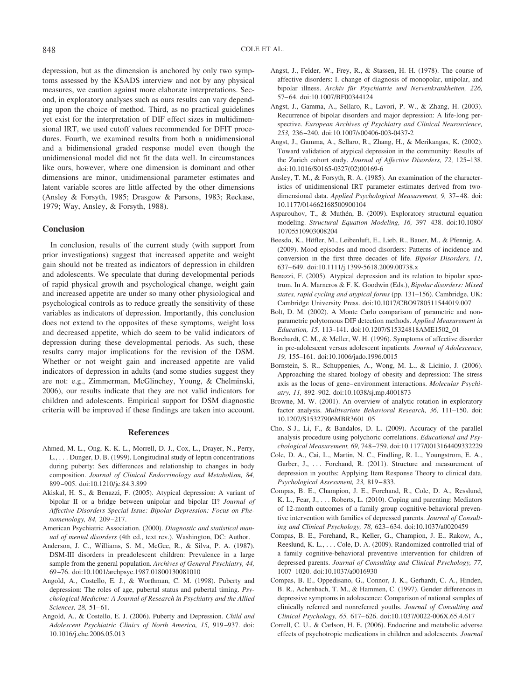depression, but as the dimension is anchored by only two symptoms assessed by the KSADS interview and not by any physical measures, we caution against more elaborate interpretations. Second, in exploratory analyses such as ours results can vary depending upon the choice of method. Third, as no practical guidelines yet exist for the interpretation of DIF effect sizes in multidimensional IRT, we used cutoff values recommended for DFIT procedures. Fourth, we examined results from both a unidimensional and a bidimensional graded response model even though the unidimensional model did not fit the data well. In circumstances like ours, however, where one dimension is dominant and other dimensions are minor, unidimensional parameter estimates and latent variable scores are little affected by the other dimensions (Ansley & Forsyth, 1985; Drasgow & Parsons, 1983; Reckase, 1979; Way, Ansley, & Forsyth, 1988).

## **Conclusion**

In conclusion, results of the current study (with support from prior investigations) suggest that increased appetite and weight gain should not be treated as indicators of depression in children and adolescents. We speculate that during developmental periods of rapid physical growth and psychological change, weight gain and increased appetite are under so many other physiological and psychological controls as to reduce greatly the sensitivity of these variables as indicators of depression. Importantly, this conclusion does not extend to the opposites of these symptoms, weight loss and decreased appetite, which do seem to be valid indicators of depression during these developmental periods. As such, these results carry major implications for the revision of the DSM. Whether or not weight gain and increased appetite are valid indicators of depression in adults (and some studies suggest they are not: e.g., Zimmerman, McGlinchey, Young, & Chelminski, 2006), our results indicate that they are not valid indicators for children and adolescents. Empirical support for DSM diagnostic criteria will be improved if these findings are taken into account.

#### **References**

- Ahmed, M. L., Ong, K. K. L., Morrell, D. J., Cox, L., Drayer, N., Perry, L., . . . Dunger, D. B. (1999). Longitudinal study of leptin concentrations during puberty: Sex differences and relationship to changes in body composition. *Journal of Clinical Endocrinology and Metabolism, 84,* 899 –905. doi:10.1210/jc.84.3.899
- Akiskal, H. S., & Benazzi, F. (2005). Atypical depression: A variant of bipolar II or a bridge between unipolar and bipolar II? *Journal of Affective Disorders Special Issue: Bipolar Depression: Focus on Phenomenology, 84,* 209 –217.
- American Psychiatric Association. (2000). *Diagnostic and statistical manual of mental disorders* (4th ed., text rev.). Washington, DC: Author.
- Anderson, J. C., Williams, S. M., McGee, R., & Silva, P. A. (1987). DSM-III disorders in preadolescent children: Prevalence in a large sample from the general population. *Archives of General Psychiatry, 44,* 69 –76. doi:10.1001/archpsyc.1987.01800130081010
- Angold, A., Costello, E. J., & Worthman, C. M. (1998). Puberty and depression: The roles of age, pubertal status and pubertal timing. *Psychological Medicine: A Journal of Research in Psychiatry and the Allied* Sciences, 28, 51-61.
- Angold, A., & Costello, E. J. (2006). Puberty and Depression. *Child and Adolescent Psychiatric Clinics of North America, 15,* 919 –937. doi: 10.1016/j.chc.2006.05.013
- Angst, J., Felder, W., Frey, R., & Stassen, H. H. (1978). The course of affective disorders: I. change of diagnosis of monopolar, unipolar, and bipolar illness. *Archiv fu¨r Psychiatrie und Nervenkrankheiten, 226,* 57– 64. doi:10.1007/BF00344124
- Angst, J., Gamma, A., Sellaro, R., Lavori, P. W., & Zhang, H. (2003). Recurrence of bipolar disorders and major depression: A life-long perspective. *European Archives of Psychiatry and Clinical Neuroscience, 253,* 236 –240. doi:10.1007/s00406-003-0437-2
- Angst, J., Gamma, A., Sellaro, R., Zhang, H., & Merikangas, K. (2002). Toward validation of atypical depression in the community: Results of the Zurich cohort study. *Journal of Affective Disorders, 72,* 125–138. doi:10.1016/S0165-0327(02)00169-6
- Ansley, T. M., & Forsyth, R. A. (1985). An examination of the characteristics of unidimensional IRT parameter estimates derived from twodimensional data. *Applied Psychological Measurement*, 9, 37–48. doi: 10.1177/014662168500900104
- Asparouhov, T., & Muthén, B. (2009). Exploratory structural equation modeling. *Structural Equation Modeling, 16,* 397– 438. doi:10.1080/ 10705510903008204
- Beesdo, K., Höfler, M., Leibenluft, E., Lieb, R., Bauer, M., & Pfennig, A. (2009). Mood episodes and mood disorders: Patterns of incidence and conversion in the first three decades of life. *Bipolar Disorders, 11,* 637– 649. doi:10.1111/j.1399-5618.2009.00738.x
- Benazzi, F. (2005). Atypical depression and its relation to bipolar spectrum. In A. Marneros & F. K. Goodwin (Eds.), *Bipolar disorders: Mixed states, rapid cycling and atypical forms* (pp. 131–156). Cambridge, UK: Cambridge University Press. doi:10.1017/CBO9780511544019.007
- Bolt, D. M. (2002). A Monte Carlo comparison of parametric and nonparametric polytomous DIF detection methods. *Applied Measurement in Education, 15,* 113–141. doi:10.1207/S15324818AME1502\_01
- Borchardt, C. M., & Meller, W. H. (1996). Symptoms of affective disorder in pre-adolescent versus adolescent inpatients. *Journal of Adolescence, 19,* 155–161. doi:10.1006/jado.1996.0015
- Bornstein, S. R., Schuppenies, A., Wong, M. L., & Licinio, J. (2006). Approaching the shared biology of obesity and depression: The stress axis as the locus of gene– environment interactions. *Molecular Psychiatry, 11,* 892–902. doi:10.1038/sj.mp.4001873
- Browne, M. W. (2001). An overview of analytic rotation in exploratory factor analysis. *Multivariate Behavioral Research, 36,* 111–150. doi: 10.1207/S15327906MBR3601\_05
- Cho, S-J., Li, F., & Bandalos, D. L. (2009). Accuracy of the parallel analysis procedure using polychoric correlations. *Educational and Psychological Measurement, 69,* 748 –759. doi:10.1177/0013164409332229
- Cole, D. A., Cai, L., Martin, N. C., Findling, R. L., Youngstrom, E. A., Garber, J., ... Forehand, R. (2011). Structure and measurement of depression in youths: Applying Item Response Theory to clinical data. *Psychological Assessment, 23,* 819 – 833.
- Compas, B. E., Champion, J. E., Forehand, R., Cole, D. A., Resslund, K. L., Fear, J., . . . Roberts, L. (2010). Coping and parenting: Mediators of 12-month outcomes of a family group cognitive-behavioral preventive intervention with families of depressed parents. *Journal of Consulting and Clinical Psychology, 78,* 623– 634. doi:10.1037/a0020459
- Compas, B. E., Forehand, R., Keller, G., Champion, J. E., Rakow, A., Reeslund, K. L., . . . Cole, D. A. (2009). Randomized controlled trial of a family cognitive-behavioral preventive intervention for children of depressed parents. *Journal of Consulting and Clinical Psychology, 77,* 1007–1020. doi:10.1037/a0016930
- Compas, B. E., Oppedisano, G., Connor, J. K., Gerhardt, C. A., Hinden, B. R., Achenbach, T. M., & Hammen, C. (1997). Gender differences in depressive symptoms in adolescence: Comparison of national samples of clinically referred and nonreferred youths. *Journal of Consulting and Clinical Psychology, 65,* 617– 626. doi:10.1037/0022-006X.65.4.617
- Correll, C. U., & Carlson, H. E. (2006). Endocrine and metabolic adverse effects of psychotropic medications in children and adolescents. *Journal*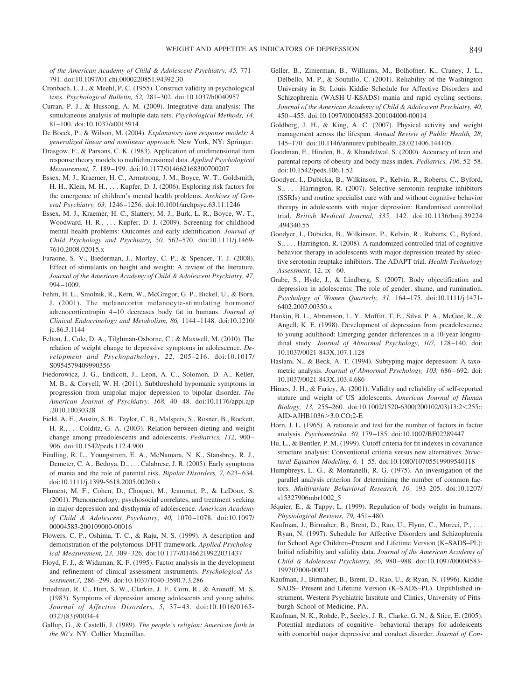*of the American Academy of Child & Adolescent Psychiatry, 45,* 771– 791. doi:10.1097/01.chi.0000220851.94392.30

- Cronbach, L. J., & Meehl, P. C. (1955). Construct validity in psychological tests. *Psychological Bulletin, 52,* 281–302. doi:10.1037/h0040957
- Curran, P. J., & Hussong, A. M. (2009). Integrative data analysis: The simultaneous analysis of multiple data sets. *Psychological Methods, 14,* 81–100. doi:10.1037/a0015914
- De Boeck, P., & Wilson, M. (2004). *Explanatory item response models: A generalized linear and nonlinear approach.* New York, NY: Springer.
- Drasgow, F., & Parsons, C. K. (1983). Application of unidimensional item response theory models to multidimensional data. *Applied Psychological Measurement, 7,* 189 –199. doi:10.1177/014662168300700207
- Essex, M. J., Kraemer, H. C., Armstrong, J. M., Boyce, W. T., Goldsmith, H. H., Klein, M. H., . . . Kupfer, D. J. (2006). Exploring risk factors for the emergence of children's mental health problems. *Archives of General Psychiatry, 63,* 1246 –1256. doi:10.1001/archpsyc.63.11.1246
- Essex, M. J., Kraemer, H. C., Slattery, M. J., Burk, L. R., Boyce, W. T., Woodward, H. R., ... Kupfer, D. J. (2009). Screening for childhood mental health problems: Outcomes and early identification. *Journal of Child Psychology and Psychiatry, 50,* 562–570. doi:10.1111/j.1469- 7610.2008.02015.x
- Faraone, S. V., Biederman, J., Morley, C. P., & Spencer, T. J. (2008). Effect of stimulants on height and weight: A review of the literature. *Journal of the American Academy of Child & Adolescent Psychiatry, 47,* 994 –1009.
- Fehm, H. L., Smolnik, R., Kern, W., McGregor, G. P., Bickel, U., & Born, J. (2001). The melanocortin melanocyte-stimulating hormone/ adrenocorticotropin 4 –10 decreases body fat in humans. *Journal of Clinical Endocrinology and Metabolism, 86,* 1144 –1148. doi:10.1210/ jc.86.3.1144
- Felton, J., Cole, D. A., Tilghman-Osborne, C., & Maxwell, M. (2010). The relation of weight change to depressive symptoms in adolescence. *Development and Psychopathology, 22,* 205–216. doi:10.1017/ S0954579409990356
- Fiedorowicz, J. G., Endicott, J., Leon, A. C., Solomon, D. A., Keller, M. B., & Coryell, W. H. (2011). Subthreshold hypomanic symptoms in progression from unipolar major depression to bipolar disorder. *The American Journal of Psychiatry, 168,* 40 – 48. doi:10.1176/appi.ajp .2010.10030328
- Field, A. E., Austin, S. B., Taylor, C. B., Malspeis, S., Rosner, B., Rockett, H. R., . . . Colditz, G. A. (2003). Relation between dieting and weight change among preadolescents and adolescents. *Pediatrics, 112,* 900 – 906. doi:10.1542/peds.112.4.900
- Findling, R. L., Youngstrom, E. A., McNamara, N. K., Stansbrey, R. J., Demeter, C. A., Bedoya, D., . . . Calabrese, J. R. (2005). Early symptoms of mania and the role of parental risk. *Bipolar Disorders, 7,* 623– 634. doi:10.1111/j.1399-5618.2005.00260.x
- Flament, M. F., Cohen, D., Choquet, M., Jeammet, P., & LeDoux, S. (2001). Phenomenology, psychosocial correlates, and treatment seeking in major depression and dysthymia of adolescence. *American Academy of Child & Adolescent Psychiatry, 40,* 1070 –1078. doi:10.1097/ 00004583-200109000-00016
- Flowers, C. P., Oshima, T. C., & Raju, N. S. (1999). A description and demonstration of the polytomous-DFIT framework. *Applied Psychological Measurement, 23,* 309 –326. doi:10.1177/01466219922031437
- Floyd, F. J., & Widaman, K. F. (1995). Factor analysis in the development and refinement of clinical assessment instruments. *Psychological Assessment,7,* 286 –299. doi:10.1037/1040-3590.7.3.286
- Friedman, R. C., Hurt, S. W., Clarkin, J. F., Corn, R., & Aronoff, M. S. (1983). Symptoms of depression among adolescents and young adults. *Journal of Affective Disorders, 5,* 37– 43. doi:10.1016/0165- 0327(83)90034-4
- Gallup, G., & Castelli, J. (1989). *The people's religion: American faith in the 90's.* NY: Collier Macmillan.
- Geller, B., Zimerman, B., Williams, M., Bolhofner, K., Craney, J. L., Delbello, M. P., & Soutullo, C. (2001). Reliability of the Washington University in St. Louis Kiddie Schedule for Affective Disorders and Schizophrenia (WASH-U-KSADS) mania and rapid cycling sections. *Journal of the American Academy of Child & Adolescent Psychiatry, 40,* 450 – 455. doi:10.1097/00004583-200104000-00014
- Goldberg, J. H., & King, A. C. (2007). Physical activity and weight management across the lifespan. *Annual Review of Public Health, 28,* 145–170. doi:10.1146/annurev.publhealth.28.021406.144105
- Goodman, E., Hinden, B., & Khandelwal, S. (2000). Accuracy of teen and parental reports of obesity and body mass index. *Pediatrics, 106,* 52–58. doi:10.1542/peds.106.1.52
- Goodyer, I., Dubicka, B., Wilkinson, P., Kelvin, R., Roberts, C., Byford, S., . . . Harrington, R. (2007). Selective serotonin reuptake inhibitors (SSRIs) and routine specialist care with and without cognitive behavior therapy in adolescents with major depression: Randomised controlled trial. *British Medical Journal, 335,* 142. doi:10.1136/bmj.39224 .494340.55
- Goodyer, I., Dubicka, B., Wilkinson, P., Kelvin, R., Roberts, C., Byford, S., . . . Harrington, R. (2008). A randomized controlled trial of cognitive behavior therapy in adolescents with major depression treated by selective serotonin reuptake inhibitors. The ADAPT trial. *Health Technology Assessment,* 12, ix– 60.
- Grabe, S., Hyde, J., & Lindberg, S. (2007). Body objectification and depression in adolescents: The role of gender, shame, and rumination. *Psychology of Women Quarterly, 31,* 164 –175. doi:10.1111/j.1471- 6402.2007.00350.x
- Hankin, B. L., Abramson, L. Y., Moffitt, T. E., Silva, P. A., McGee, R., & Angell, K. E. (1998). Development of depression from preadolescence to young adulthood: Emerging gender differences in a 10-year longitudinal study. *Journal of Abnormal Psychology, 107, 128-140*. doi: 10.1037/0021-843X.107.1.128
- Haslam, N., & Beck, A. T. (1994). Subtyping major depression: A taxometric analysis. *Journal of Abnormal Psychology, 103, 686–692*. doi: 10.1037/0021-843X.103.4.686
- Himes, J. H., & Faricy, A. (2001). Validity and reliability of self-reported stature and weight of US adolescents. *American Journal of Human Biology, 13, 255-260. doi:10.1002/1520-6300(200102/03)13:2<255::* AID-AJHB1036>3.0.CO;2-E
- Horn, J. L. (1965). A rationale and test for the number of factors in factor analysis. *Psychometrika, 30,* 179 –185. doi:10.1007/BF02289447
- Hu, L., & Bentler, P. M. (1999). Cutoff criteria for fit indexes in covariance structure analysis: Conventional criteria versus new alternatives. *Structural Equation Modeling, 6,* 1–55. doi:10.1080/10705519909540118
- Humphreys, L. G., & Montanelli, R. G. (1975). An investigation of the parallel analysis criterion for determining the number of common factors. *Multivariate Behavioral Research, 10,* 193–205. doi:10.1207/ s15327906mbr1002\_5
- Jéquier, E., & Tappy, L. (1999). Regulation of body weight in humans. *Physiological Reviews, 79,* 451– 480.
- Kaufman, J., Birmaher, B., Brent, D., Rao, U., Flynn, C., Moreci, P., . . . Ryan, N. (1997). Schedule for Affective Disorders and Schizophrenia for School Age Children–Present and Lifetime Version (K–SADS–PL): Initial reliability and validity data. *Journal of the American Academy of Child & Adolescent Psychiatry, 36,* 980 –988. doi:10.1097/00004583- 199707000-00021
- Kaufman, J., Birmaher, B., Brent, D., Rao, U., & Ryan, N. (1996). Kiddie SADS– Present and Lifetime Version (K–SADS–PL). Unpublished instrument, Western Psychiatric Institute and Clinics, University of Pittsburgh School of Medicine, PA.
- Kaufman, N. K., Rohde, P., Seeley, J. R., Clarke, G. N., & Stice, E. (2005). Potential mediators of cognitive– behavioral therapy for adolescents with comorbid major depressive and conduct disorder. *Journal of Con-*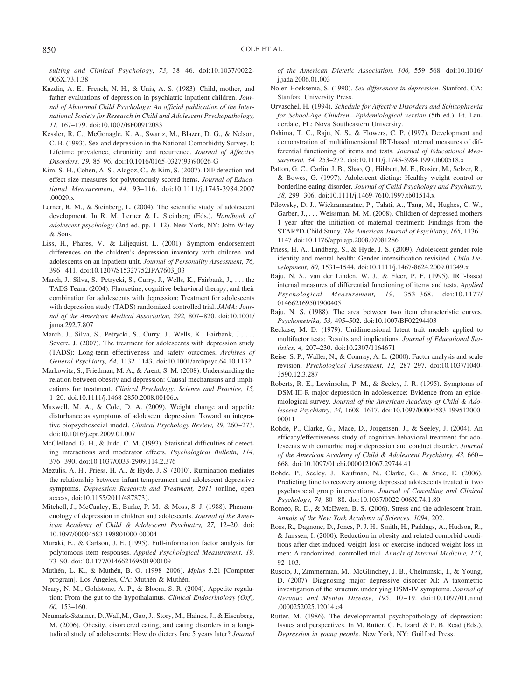*sulting and Clinical Psychology, 73,* 38 – 46. doi:10.1037/0022- 006X.73.1.38

- Kazdin, A. E., French, N. H., & Unis, A. S. (1983). Child, mother, and father evaluations of depression in psychiatric inpatient children. *Journal of Abnormal Child Psychology: An official publication of the International Society for Research in Child and Adolescent Psychopathology, 11,* 167–179. doi:10.1007/BF00912083
- Kessler, R. C., McGonagle, K. A., Swartz, M., Blazer, D. G., & Nelson, C. B. (1993). Sex and depression in the National Comorbidity Survey. I: Lifetime prevalence, chronicity and recurrence. *Journal of Affective Disorders, 29,* 85–96. doi:10.1016/0165-0327(93)90026-G
- Kim, S.-H., Cohen, A. S., Alagoz, C., & Kim, S. (2007). DIF detection and effect size measures for polytomously scored items. *Journal of Educational Measurement, 44,* 93–116. doi:10.1111/j.1745-3984.2007 .00029.x
- Lerner, R. M., & Steinberg, L. (2004). The scientific study of adolescent development. In R. M. Lerner & L. Steinberg (Eds.), *Handbook of adolescent psychology* (2nd ed, pp. 1–12). New York, NY: John Wiley & Sons.
- Liss, H., Phares, V., & Liljequist, L. (2001). Symptom endorsement differences on the children's depression inventory with children and adolescents on an inpatient unit. *Journal of Personality Assessment, 76,* 396 – 411. doi:10.1207/S15327752JPA7603\_03
- March, J., Silva, S., Petrycki, S., Curry, J., Wells, K., Fairbank, J., . . . the TADS Team. (2004). Fluoxetine, cognitive-behavioral therapy, and their combination for adolescents with depression: Treatment for adolescents with depression study (TADS) randomized controlled trial. *JAMA: Journal of the American Medical Association, 292,* 807– 820. doi:10.1001/ jama.292.7.807
- March, J., Silva, S., Petrycki, S., Curry, J., Wells, K., Fairbank, J., . . . Severe, J. (2007). The treatment for adolescents with depression study (TADS): Long-term effectiveness and safety outcomes. *Archives of General Psychiatry, 64,* 1132–1143. doi:10.1001/archpsyc.64.10.1132
- Markowitz, S., Friedman, M. A., & Arent, S. M. (2008). Understanding the relation between obesity and depression: Causal mechanisms and implications for treatment. *Clinical Psychology: Science and Practice, 15,* 1–20. doi:10.1111/j.1468-2850.2008.00106.x
- Maxwell, M. A., & Cole, D. A. (2009). Weight change and appetite disturbance as symptoms of adolescent depression: Toward an integrative biopsychosocial model. *Clinical Psychology Review, 29,* 260 –273. doi:10.1016/j.cpr.2009.01.007
- McClelland, G. H., & Judd, C. M. (1993). Statistical difficulties of detecting interactions and moderator effects. *Psychological Bulletin, 114,* 376 –390. doi:10.1037/0033-2909.114.2.376
- Mezulis, A. H., Priess, H. A., & Hyde, J. S. (2010). Rumination mediates the relationship between infant temperament and adolescent depressive symptoms. *Depression Research and Treatment, 2011* (online, open access, doi:10.1155/2011/487873).
- Mitchell, J., McCauley, E., Burke, P. M., & Moss, S. J. (1988). Phenomenology of depression in children and adolescents. *Journal of the American Academy of Child & Adolescent Psychiatry, 27,* 12–20. doi: 10.1097/00004583-198801000-00004
- Muraki, E., & Carlson, J. E. (1995). Full-information factor analysis for polytomous item responses. *Applied Psychological Measurement, 19,* 73–90. doi:10.1177/014662169501900109
- Muthe´n, L. K., & Muthe´n, B. O. (1998 –2006). *Mplus* 5.21 [Computer program]. Los Angeles, CA: Muthén & Muthén.
- Neary, N. M., Goldstone, A. P., & Bloom, S. R. (2004). Appetite regulation: From the gut to the hypothalamus. *Clinical Endocrinology (Oxf), 60,* 153–160.
- Neumark-Sztainer, D.,Wall,M., Guo, J., Story, M., Haines, J., & Eisenberg, M. (2006). Obesity, disordered eating, and eating disorders in a longitudinal study of adolescents: How do dieters fare 5 years later? *Journal*

*of the American Dietetic Association, 106,* 559 –568. doi:10.1016/ j.jada.2006.01.003

- Nolen-Hoeksema, S. (1990). *Sex differences in depression.* Stanford, CA: Stanford University Press.
- Orvaschel, H. (1994). *Schedule for Affective Disorders and Schizophrenia for School-Age Children—Epidemiological version* (5th ed.). Ft. Lauderdale, FL: Nova Southeastern University.
- Oshima, T. C., Raju, N. S., & Flowers, C. P. (1997). Development and demonstration of multidimensional IRT-based internal measures of differential functioning of items and tests. *Journal of Educational Measurement, 34,* 253–272. doi:10.1111/j.1745-3984.1997.tb00518.x
- Patton, G. C., Carlin, J. B., Shao, Q., Hibbert, M. E., Rosier, M., Selzer, R., & Bowes, G. (1997). Adolescent dieting: Healthy weight control or borderline eating disorder. *Journal of Child Psychology and Psychiatry, 38,* 299 –306. doi:10.1111/j.1469-7610.1997.tb01514.x
- Pilowsky, D. J., Wickramaratne, P., Talati, A., Tang, M., Hughes, C. W., Garber, J.,... Weissman, M. M. (2008). Children of depressed mothers 1 year after the initiation of maternal treatment: Findings from the STAR\*D-Child Study. *The American Journal of Psychiatry, 165,* 1136 – 1147 doi:10.1176/appi.ajp.2008.07081286
- Priess, H. A., Lindberg, S., & Hyde, J. S. (2009). Adolescent gender-role identity and mental health: Gender intensification revisited. *Child Development, 80,* 1531–1544. doi:10.1111/j.1467-8624.2009.01349.x
- Raju, N. S., van der Linden, W. J., & Fleer, P. F. (1995). IRT-based internal measures of differential functioning of items and tests. *Applied Psychological Measurement, 19,* 353–368. doi:10.1177/ 014662169501900405
- Raju, N. S. (1988). The area between two item characteristic curves. *Psychometrika, 53,* 495–502. doi:10.1007/BF02294403
- Reckase, M. D. (1979). Unidimensional latent trait models applied to multifactor tests: Results and implications. *Journal of Educational Statistics, 4,* 207–230. doi:10.2307/1164671
- Reise, S. P., Waller, N., & Comray, A. L. (2000). Factor analysis and scale revision. *Psychological Assessment, 12,* 287–297. doi:10.1037/1040- 3590.12.3.287
- Roberts, R. E., Lewinsohn, P. M., & Seeley, J. R. (1995). Symptoms of DSM-III-R major depression in adolescence: Evidence from an epidemiological survey. *Journal of the American Academy of Child & Adolescent Psychiatry, 34,* 1608 –1617. doi:10.1097/00004583-199512000- 00011
- Rohde, P., Clarke, G., Mace, D., Jorgensen, J., & Seeley, J. (2004). An efficacy/effectiveness study of cognitive-behavioral treatment for adolescents with comorbid major depression and conduct disorder. *Journal of the American Academy of Child & Adolescent Psychiatry, 43,* 660 – 668. doi:10.1097/01.chi.0000121067.29744.41
- Rohde, P., Seeley, J., Kaufman, N., Clarke, G., & Stice, E. (2006). Predicting time to recovery among depressed adolescents treated in two psychosocial group interventions. *Journal of Consulting and Clinical Psychology, 74,* 80 – 88. doi:10.1037/0022-006X.74.1.80
- Romeo, R. D., & McEwen, B. S. (2006). Stress and the adolescent brain. *Annals of the New York Academy of Sciences, 1094,* 202.
- Ross, R., Dagnone, D., Jones, P. J. H., Smith, H., Paddags, A., Hudson, R., & Janssen, I. (2000). Reduction in obesity and related comorbid conditions after diet-induced weight loss or exercise-induced weight loss in men: A randomized, controlled trial. *Annals of Internal Medicine, 133,* 92–103.
- Ruscio, J., Zimmerman, M., McGlinchey, J. B., Chelminski, I., & Young, D. (2007). Diagnosing major depressive disorder XI: A taxometric investigation of the structure underlying DSM-IV symptoms. *Journal of Nervous and Mental Disease, 195,* 10 –19. doi:10.1097/01.nmd .0000252025.12014.c4
- Rutter, M. (1986). The developmental psychopathology of depression: Issues and perspectives. In M. Rutter, C. E. Izard, & P. B. Read (Eds.), *Depression in young people*. New York, NY: Guilford Press.